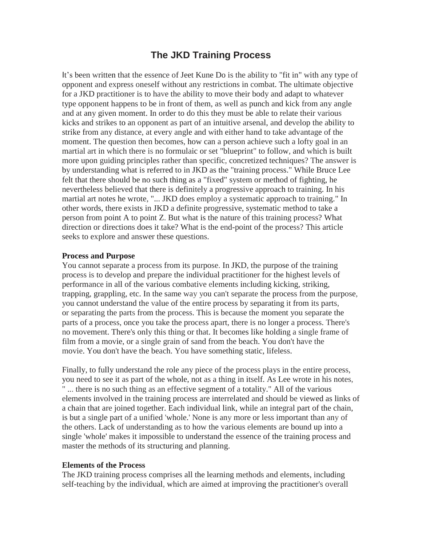# **The JKD Training Process**

It's been written that the essence of Jeet Kune Do is the ability to "fit in" with any type of opponent and express oneself without any restrictions in combat. The ultimate objective for a JKD practitioner is to have the ability to move their body and adapt to whatever type opponent happens to be in front of them, as well as punch and kick from any angle and at any given moment. In order to do this they must be able to relate their various kicks and strikes to an opponent as part of an intuitive arsenal, and develop the ability to strike from any distance, at every angle and with either hand to take advantage of the moment. The question then becomes, how can a person achieve such a lofty goal in an martial art in which there is no formulaic or set "blueprint" to follow, and which is built more upon guiding principles rather than specific, concretized techniques? The answer is by understanding what is referred to in JKD as the "training process." While Bruce Lee felt that there should be no such thing as a "fixed" system or method of fighting, he nevertheless believed that there is definitely a progressive approach to training. In his martial art notes he wrote, "... JKD does employ a systematic approach to training." In other words, there exists in JKD a definite progressive, systematic method to take a person from point A to point Z. But what is the nature of this training process? What direction or directions does it take? What is the end-point of the process? This article seeks to explore and answer these questions.

#### **Process and Purpose**

You cannot separate a process from its purpose. In JKD, the purpose of the training process is to develop and prepare the individual practitioner for the highest levels of performance in all of the various combative elements including kicking, striking, trapping, grappling, etc. In the same way you can't separate the process from the purpose, you cannot understand the value of the entire process by separating it from its parts, or separating the parts from the process. This is because the moment you separate the parts of a process, once you take the process apart, there is no longer a process. There's no movement. There's only this thing or that. It becomes like holding a single frame of film from a movie, or a single grain of sand from the beach. You don't have the movie. You don't have the beach. You have something static, lifeless.

Finally, to fully understand the role any piece of the process plays in the entire process, you need to see it as part of the whole, not as a thing in itself. As Lee wrote in his notes, " ... there is no such thing as an effective segment of a totality." All of the various elements involved in the training process are interrelated and should be viewed as links of a chain that are joined together. Each individual link, while an integral part of the chain, is but a single part of a unified 'whole.' None is any more or less important than any of the others. Lack of understanding as to how the various elements are bound up into a single 'whole' makes it impossible to understand the essence of the training process and master the methods of its structuring and planning.

#### **Elements of the Process**

The JKD training process comprises all the learning methods and elements, including self-teaching by the individual, which are aimed at improving the practitioner's overall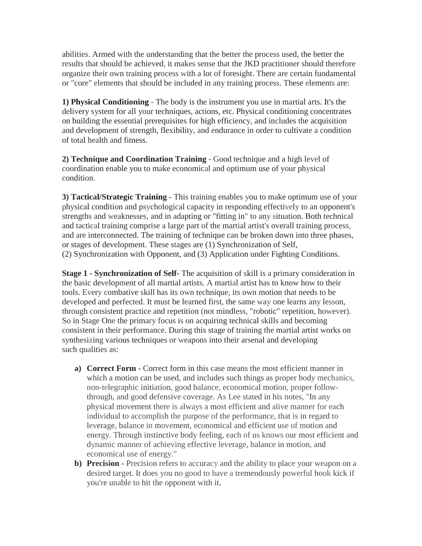abilities. Armed with the understanding that the better the process used, the better the results that should be achieved, it makes sense that the JKD practitioner should therefore organize their own training process with a lot of foresight. There are certain fundamental or "core" elements that should be included in any training process. These elements are:

**1) Physical Conditioning** - The body is the instrument you use in martial arts. It's the delivery system for all your techniques, actions, etc. Physical conditioning concentrates on building the essential prerequisites for high efficiency, and includes the acquisition and development of strength, flexibility, and endurance in order to cultivate a condition of total health and fitness.

**2) Technique and Coordination Training** - Good technique and a high level of coordination enable you to make economical and optimum use of your physical condition.

**3) Tactical/Strategic Training -** This training enables you to make optimum use of your physical condition and psychological capacity in responding effectively to an opponent's strengths and weaknesses, and in adapting or "fitting in" to any situation. Both technical and tactical training comprise a large part of the martial artist's overall training process, and are interconnected. The training of technique can be broken down into three phases, or stages of development. These stages are (1) Synchronization of Self, (2) Synchronization with Opponent, and (3) Application under Fighting Conditions.

**Stage 1 - Synchronization of Self-** The acquisition of skill is a primary consideration in the basic development of all martial artists. A martial artist has to know how to their tools. Every combative skill has its own technique, its own motion that needs to be developed and perfected. It must be learned first, the same way one learns any lesson, through consistent practice and repetition (not mindless, "robotic" repetition, however). So in Stage One the primary focus is on acquiring technical skills and becoming consistent in their performance. During this stage of training the martial artist works on synthesizing various techniques or weapons into their arsenal and developing such qualities as:

- **a) Correct Form** Correct form in this case means the most efficient manner in which a motion can be used, and includes such things as proper body mechanics, non-telegraphic initiation, good balance, economical motion, proper followthrough, and good defensive coverage. As Lee stated in his notes, "In any physical movement there is always a most efficient and alive manner for each individual to accomplish the purpose of the performance, that is in regard to leverage, balance in movement, economical and efficient use of motion and energy. Through instinctive body feeling, each of us knows our most efficient and dynamic manner of achieving effective leverage, balance in motion, and economical use of energy."
- **b) Precision -** Precision refers to accuracy and the ability to place your weapon on a desired target. It does you no good to have a tremendously powerful hook kick if you're unable to hit the opponent with it.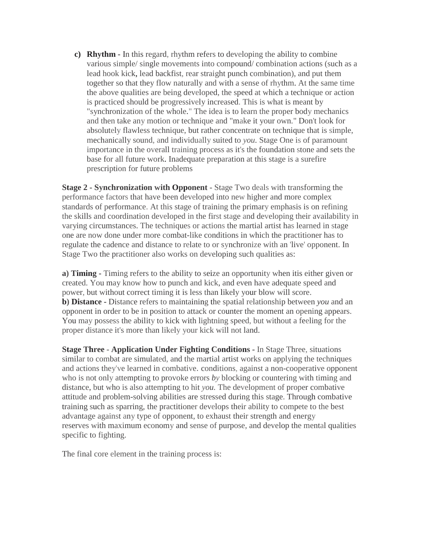**c) Rhythm -** In this regard, rhythm refers to developing the ability to combine various simple/ single movements into compound/ combination actions (such as a lead hook kick, lead backfist, rear straight punch combination), and put them together so that they flow naturally and with a sense of rhythm. At the same time the above qualities are being developed, the speed at which a technique or action is practiced should be progressively increased. This is what is meant by "synchronization of the whole." The idea is to learn the proper body mechanics and then take any motion or technique and "make it your own." Don't look for absolutely flawless technique, but rather concentrate on technique that is simple, mechanically sound, and individually suited to *you.* Stage One is of paramount importance in the overall training process as it's the foundation stone and sets the base for all future work. Inadequate preparation at this stage is a surefire prescription for future problems

**Stage 2 - Synchronization with Opponent** - Stage Two deals with transforming the performance factors that have been developed into new higher and more complex standards of performance. At this stage of training the primary emphasis is on refining the skills and coordination developed in the first stage and developing their availability in varying circumstances. The techniques or actions the martial artist has learned in stage one are now done under more combat-like conditions in which the practitioner has to regulate the cadence and distance to relate to or synchronize with an 'live' opponent. In Stage Two the practitioner also works on developing such qualities as:

**a) Timing -** Timing refers to the ability to seize an opportunity when itis either given or created. You may know how to punch and kick, and even have adequate speed and power, but without correct timing it is less than likely your blow will score. **b) Distance -** Distance refers to maintaining the spatial relationship between *you* and an opponent in order to be in position to attack or counter the moment an opening appears. You may possess the ability to kick with lightning speed, but without a feeling for the proper distance it's more than likely your kick will not land.

**Stage Three - Application Under Fighting Conditions -** In Stage Three, situations similar to combat are simulated, and the martial artist works on applying the techniques and actions they've learned in combative. conditions, against a non-cooperative opponent who is not only attempting to provoke errors *by* blocking or countering with timing and distance, but who is also attempting to hit *you.* The development of proper combative attitude and problem-solving abilities are stressed during this stage. Through combative training such as sparring, the practitioner develops their ability to compete to the best advantage against any type of opponent, to exhaust their strength and energy reserves with maximum economy and sense of purpose, and develop the mental qualities specific to fighting.

The final core element in the training process is: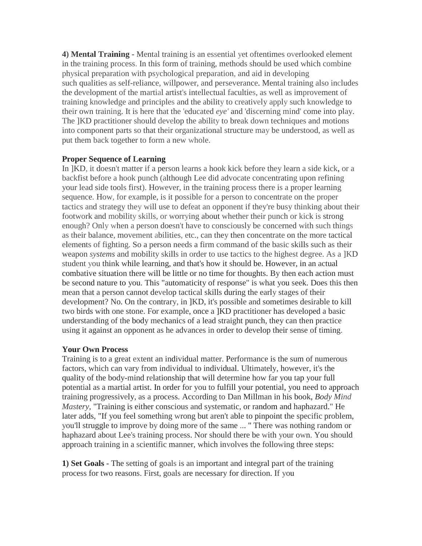**4) Mental Training -** Mental training is an essential yet oftentimes overlooked element in the training process. In this form of training, methods should be used which combine physical preparation with psychological preparation, and aid in developing such qualities as self-reliance, willpower, and perseverance. Mental training also includes the development of the martial artist's intellectual faculties, as well as improvement of training knowledge and principles and the ability to creatively apply such knowledge to their own training. It is here that the 'educated *eye'* and 'discerning mind' come into play. The ]KD practitioner should develop the ability to break down techniques and motions into component parts so that their organizational structure may be understood, as well as put them back together to form a new whole.

### **Proper Sequence of Learning**

In ]KD, it doesn't matter if a person learns a hook kick before they learn a side kick, or a backfist before a hook punch (although Lee did advocate concentrating upon refining your lead side tools first). However, in the training process there is a proper learning sequence. How, for example, is it possible for a person to concentrate on the proper tactics and strategy they will use to defeat an opponent if they're busy thinking about their footwork and mobility skills, or worrying about whether their punch or kick is strong enough? Only when a person doesn't have to consciously be concerned with such things as their balance, movement abilities, etc., can they then concentrate on the more tactical elements of fighting. So a person needs a firm command of the basic skills such as their weapon *systems* and mobility skills in order to use tactics to the highest degree. As a ]KD student you think while learning, and that's how it should be. However, in an actual combative situation there will be little or no time for thoughts. By then each action must be second nature to you. This "automaticity of response" is what you seek. Does this then mean that a person cannot develop tactical skills during the early stages of their development? No. On the contrary, in ]KD, it's possible and sometimes desirable to kill two birds with one stone. For example, once a ]KD practitioner has developed a basic understanding of the body mechanics of a lead straight punch, they can then practice using it against an opponent as he advances in order to develop their sense of timing.

## **Your Own Process**

Training is to a great extent an individual matter. Performance is the sum of numerous factors, which can vary from individual to individual. Ultimately, however, it's the quality of the body-mind relationship that will determine how far you tap your full potential as a martial artist. In order for you to fulfill your potential, you need to approach training progressively, as a process. According to Dan Millman in his book, *Body Mind Mastery,* "Training is either conscious and systematic, or random and haphazard." He later adds, "If you feel something wrong but aren't able to pinpoint the specific problem, you'll struggle to improve by doing more of the same ... " There was nothing random or haphazard about Lee's training process. Nor should there be with your own. You should approach training in a scientific manner, which involves the following three steps:

**1) Set Goals -** The setting of goals is an important and integral part of the training process for two reasons. First, goals are necessary for direction. If you